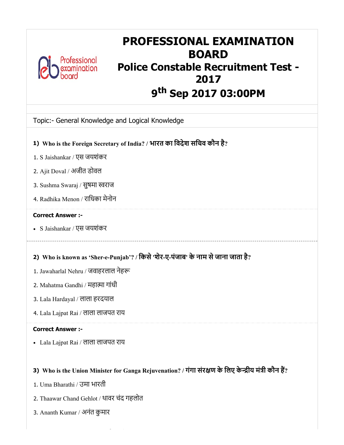

## PROFESSIONAL EXAMINATION BOARD Police Constable Recruitment Test - 2017 9<sup>th</sup> Sep 2017 03:00PM

## Topic:- General Knowledge and Logical Knowledge

- 1) Who is the Foreign Secretary of India? / भारत का िवदेश सिचव कौन है?
- 1. S Jaishankar / एस जयशंकर
- 2. Ajit Doval / अजीत डोवल
- 3. Sushma Swaraj / सुषमा स्वराज
- 4. Radhika Menon / रािधका मेनोन

#### Correct Answer :-

S Jaishankar / एस जयशंकर

## 2) Who is known as 'Sher-e-Punjab'? / िकसे'शेर-ए-पंजाब' केनाम सेजाना जाता है?

- 1. Jawaharlal Nehru / जवाहरलाल नेह
- 2. Mahatma Gandhi / महात्मा गांधी
- 3. Lala Hardayal / लाला हरदयाल
- 4. Lala Lajpat Rai / लाला लाजपत राय

#### Correct Answer :-

Lala Lajpat Rai / लाला लाजपत राय

## 3) Who is the Union Minister for Ganga Rejuvenation? / गगा संरक्षण के लिए केन्द्रीय मंत्री कौन है?

- 1. Uma Bharathi / उमा भारती
- 2. Thaawar Chand Gehlot / थावर चंद गहलोत
- 3. Ananth Kumar / अनंत कुमार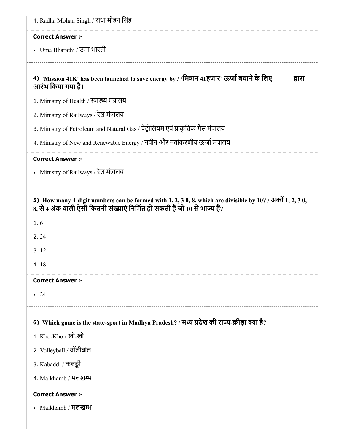| <b>Correct Answer :-</b>                   |                                                                                                               |
|--------------------------------------------|---------------------------------------------------------------------------------------------------------------|
| • Uma Bharathi / उमा भारती                 |                                                                                                               |
| आरंभ किया गया है।                          | 4) 'Mission 41K' has been launched to save energy by / 'मिशन 41हजार' ऊर्जा बचाने के लिए<br>द्वारा             |
| 1. Ministry of Health / स्वास्थ्य मंत्रालय |                                                                                                               |
| 2. Ministry of Railways / रेल मंत्रालय     |                                                                                                               |
|                                            | 3. Ministry of Petroleum and Natural Gas / पेट्रोलियम एवं प्राकृतिक गैस मंत्रालय                              |
|                                            | 4. Ministry of New and Renewable Energy / नवीन और नवीकरणीय ऊर्जा मंत्रालय                                     |
| <b>Correct Answer :-</b>                   |                                                                                                               |
| • Ministry of Railways / रेल मंत्रालय      |                                                                                                               |
|                                            | 5) How many 4-digit numbers can be formed with 1, 2, 3 0, 8, which are divisible by $10$ ? / अंकों 1, 2, 3 0, |
|                                            |                                                                                                               |
|                                            | 8, से 4 अंक वाली ऐसी कितनी संख्याएं निर्मित हो सकती हैं जो 10 से भाज्य हैं?                                   |
|                                            |                                                                                                               |
| 1.6                                        |                                                                                                               |
| 2.24                                       |                                                                                                               |
| 3.12                                       |                                                                                                               |
| 4.18                                       |                                                                                                               |
| <b>Correct Answer :-</b>                   |                                                                                                               |
| $\bullet$ 24                               |                                                                                                               |
|                                            |                                                                                                               |
|                                            | 6) Which game is the state-sport in Madhya Pradesh? / मध्य प्रदेश की राज्य-क्रीड़ा क्या है?                   |
| 1. Kho-Kho / खो-खो                         |                                                                                                               |
| 2. Volleyball / वॉलीबॉल                    |                                                                                                               |
| 3. Kabaddi / कबड्डी                        |                                                                                                               |
| 4. Malkhamb / मलखम्भ                       |                                                                                                               |
| <b>Correct Answer :-</b>                   |                                                                                                               |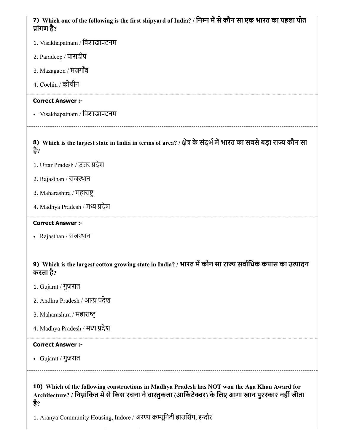## 7) Which one of the following is the first shipyard of India? / निम्न में से कौन सा एक भारत का पहला पोत ांगण है?

- 1. Visakhapatnam / िवशाखापटनम
- 2. Paradeep / पारादीप
- 3. Mazagaon / मज़गाँव
- 4. Cochin / कोचीन

#### Correct Answer :-

Visakhapatnam / िवशाखापटनम

8) Which is the largest state in India in terms of area? / क्षेत्र के सदभे में भारत का सबसे बड़ा राज्य कौन सा है?

- 1. Uttar Pradesh / उत्तर प्रदेश
- 2. Rajasthan / राजथान
- 3. Maharashtra / महारा
- 4. Madhya Pradesh / मध्य प्रदेश

#### Correct Answer :-

Rajasthan / राजथान

## 9) Which is the largest cotton growing state in India? / भारत में कौन सा राज्य सर्वाधिक कपास का उत्पादन करता है?

- 1. Gujarat / गुजरात
- 2. Andhra Pradesh / आन्ध्र प्रदेश
- 3. Maharashtra / महाराट
- 4. Madhya Pradesh / मध्य प्रदेश

#### Correct Answer :-

Gujarat / गुजरात

10) Which of the following constructions in Madhya Pradesh has NOT won the Aga Khan Award for Architecture? / निम्नांकित में से किस रचना ने वास्तुकला (आर्किटेक्चर) के लिए आगा खान पुरस्कार नहीं जीता है?

1. Aranya Community Housing, Indore / अरण्य कम्यूनिटी हाउसिंग, इन्दौर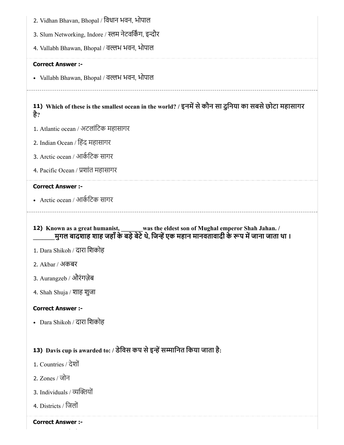- 2. Vidhan Bhavan, Bhopal / िवधान भवन, भोपाल
- 3. Slum Networking, Indore / स्लम नेटवर्किंग, इन्दौर
- 4. Vallabh Bhawan, Bhopal / वल्लभ भवन, भोपाल

• Vallabh Bhawan, Bhopal / वल्लभ भवन, भोपाल

11) Which of these is the smallest ocean in the world? / इनमें से कौन सा दुनिया का सबसे छोटा महासागर है?

- 1. Atlantic ocean / अटलांिटक महासागर
- 2. Indian Ocean / िहंद महासागर
- 3. Arctic ocean / आकिटक सागर
- 4. Pacific Ocean / शांत महासागर

#### Correct Answer :-

- Arctic ocean / आकिटक सागर
- 12) Known as a great humanist, was the eldest son of Mughal emperor Shah Jahan. / \_\_\_\_\_\_\_मुगल बादशाह शाह जहाँके बड़ेबेटेथे, िजएक महान मानवतावादी केप मजाना जाता था ।
- 1. Dara Shikoh / दारा िशकोह
- 2. Akbar / अकबर
- 3. Aurangzeb / औरंगज़ेब
- 4. Shah Shuja / शाह शुजा

#### Correct Answer :-

Dara Shikoh / दारा िशकोह

## 13) Davis cup is awarded to: / डेविस कप से इन्हें सम्मानित किया जाता है:

- 1. Countries / देशों
- 2. Zones / जोन
- 3. Individuals / व्यक्तियों
- 4. Districts / िजलों

#### Correct Answer :-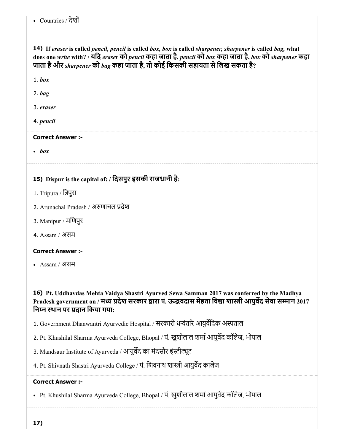## Countries / देशों

14) If *eraser* is called *pencil, pencil* is called *box, box* is called *sharpener, sharpener* is called *bag,* what does one *write* with? / यिद *eraser* को *pencil* कहा जाता है, *pencil* को *box* कहा जाता है, *box* को *sharpener* कहा जाता हैऔर *sharpener* को *bag* कहा जाता है, तो कोई िकसकी सहायता सेिलख सकता है?

1. *box*

2. *bag*

3. *eraser*

4. *pencil*

#### Correct Answer :-

*box*

15) Dispur is the capital of: / िदसपुर इसकी राजधानी है:

- 1. Tripura / िपुरा
- 2. Arunachal Pradesh / अणाचल देश
- 3. Manipur / मिणपुर
- 4. Assam / असम

#### Correct Answer :-

Assam / असम

16) Pt. Uddhavdas Mehta Vaidya Shastri Ayurved Sewa Samman 2017 was conferred by the Madhya Pradesh government on / मध्य प्रदेश सरकार द्वारा पं. ऊद्धवदास मेहता विद्या शास्त्री आयुर्वेद सेवा सम्मान 2017 िनन थान पर दान िकया गया:

1. Government Dhanwantri Ayurvedic Hospital / सरकारी धवंतर आयुविदक अताल

2. Pt. Khushilal Sharma Ayurveda College, Bhopal / पं. खुशीलाल शर्मा आयुर्वेद कॉलेज, भोपाल

3. Mandsaur Institute of Ayurveda / आयुर्वेद का मंदसौर इंस्टीट्यूट

4. Pt. Shivnath Shastri Ayurveda College / पं. शिवनाथ शास्त्री आयुर्वेद कालेज

#### Correct Answer :-

• Pt. Khushilal Sharma Ayurveda College, Bhopal / पं. खुशीलाल शर्मा आयुर्वेद कॉलेज, भोपाल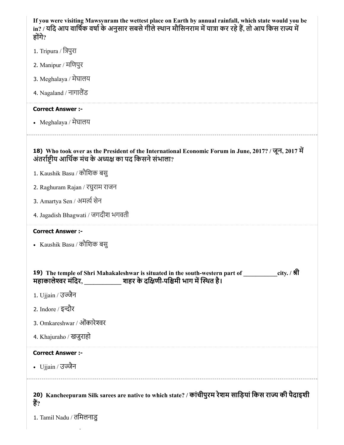| If you were visiting Mawsynram the wettest place on Earth by annual rainfall, which state would you be<br>in? / यदि आप वार्षिक वर्षा के अनुसार सबसे गीले स्थान मौसिनराम में यात्रा कर रहे हैं, तो आप किस राज्य में<br>होंगे? |  |  |
|------------------------------------------------------------------------------------------------------------------------------------------------------------------------------------------------------------------------------|--|--|
| 1. Tripura / त्रिपुरा                                                                                                                                                                                                        |  |  |
| 2. Manipur / मणिपुर                                                                                                                                                                                                          |  |  |
| 3. Meghalaya / मेघालय                                                                                                                                                                                                        |  |  |
| 4. Nagaland / नागालैंड                                                                                                                                                                                                       |  |  |
| <b>Correct Answer :-</b>                                                                                                                                                                                                     |  |  |
| • Meghalaya / मेघालय                                                                                                                                                                                                         |  |  |
| 18) Who took over as the President of the International Economic Forum in June, 2017? / जून, 2017 में<br>अंतर्राष्ट्रीय आर्थिक मंच के अध्यक्ष का पद किसने संभाला?                                                            |  |  |
| 1. Kaushik Basu / कौशिक बसु                                                                                                                                                                                                  |  |  |
| 2. Raghuram Rajan / रघुराम राजन                                                                                                                                                                                              |  |  |
| 3. Amartya Sen / अमर्त्य सेन                                                                                                                                                                                                 |  |  |
| 4. Jagadish Bhagwati / जगदीश भगवती                                                                                                                                                                                           |  |  |
| <b>Correct Answer :-</b>                                                                                                                                                                                                     |  |  |
| • Kaushik Basu / कौशिक बस्                                                                                                                                                                                                   |  |  |
|                                                                                                                                                                                                                              |  |  |
| city. / श्री<br>19) The temple of Shri Mahakaleshwar is situated in the south-western part of<br>महाकालेश्वर मंदिर,                           शहर के दक्षिणी-पश्चिमी भाग में स्थित है।                                       |  |  |
|                                                                                                                                                                                                                              |  |  |
| 1. Ujjain / उज्जैन                                                                                                                                                                                                           |  |  |
| 2. Indore / इन्दौर                                                                                                                                                                                                           |  |  |
| 3. Omkareshwar / ओंकारेश्वर                                                                                                                                                                                                  |  |  |
| 4. Khajuraho / खजूराहो                                                                                                                                                                                                       |  |  |
| <b>Correct Answer :-</b>                                                                                                                                                                                                     |  |  |
| • Ujjain / उज्जैन                                                                                                                                                                                                            |  |  |
| 20) Kancheepuram Silk sarees are native to which state? / कांचीपुरम रेशम साड़ियां किस राज्य की पैदाइशी<br>हैं?<br>1. Tamil Nadu / तमिलनाडु                                                                                   |  |  |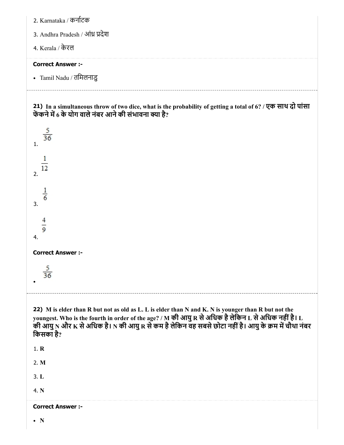| 2. Karnataka / कर्नाटक           |
|----------------------------------|
| 3. Andhra Pradesh / आंध्र प्रदेश |
| 4. Kerala / केरल                 |
|                                  |
| <b>Correct Answer :-</b>         |
| • Tamil Nadu / तमिलनाडु          |

21) In a simultaneous throw of two dice, what is the probability of getting a total of 6? / एक साथ दो पांसा फेंकने में 6 के योग वाले नंबर आने की संभावना क्या है?

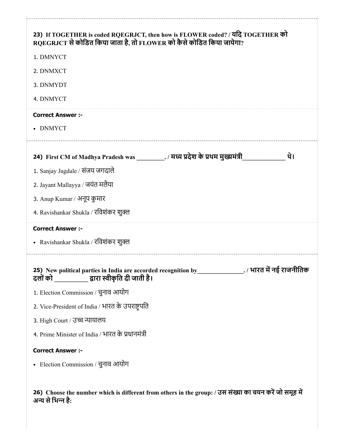| RQEGRJCT से कोडित किया जाता है, तो FLOWER को कैसे कोडित किया जायेगा? | 23) If TOGETHER is coded RQEGRJCT, then how is FLOWER coded? / यदि TOGETHER को                           |     |
|----------------------------------------------------------------------|----------------------------------------------------------------------------------------------------------|-----|
| 1. DMNYCT                                                            |                                                                                                          |     |
| 2. DNMXCT                                                            |                                                                                                          |     |
| 3. DNMYDT                                                            |                                                                                                          |     |
| 4. DNMYCT                                                            |                                                                                                          |     |
| <b>Correct Answer :-</b>                                             |                                                                                                          |     |
| • DNMYCT                                                             |                                                                                                          |     |
|                                                                      | 24) First CM of Madhya Pradesh was ___________. / मध्य प्रदेश के प्रथम मुख्यमंत्री                       | थे। |
| 1. Sanjay Jagdale / संजय जगदाले                                      |                                                                                                          |     |
| 2. Jayant Mallayya / जयंत मलैया                                      |                                                                                                          |     |
| 3. Anup Kumar / अनूप कुमार                                           |                                                                                                          |     |
| 4. Ravishankar Shukla / रविशंकर शुक्ल                                |                                                                                                          |     |
| <b>Correct Answer :-</b>                                             |                                                                                                          |     |
| • Ravishankar Shukla / रविशंकर शुक्ल                                 |                                                                                                          |     |
| दलों को ____________ द्वारा स्वीकृति दी जाती है।                     | 25) New political parties in India are accorded recognition by _________________. / भारत में नई राजनीतिक |     |
| 1. Election Commission / चुनाव आयोग                                  |                                                                                                          |     |
| 2. Vice-President of India / भारत के उपराष्ट्रपति                    |                                                                                                          |     |
| 3. High Court / उच्च न्यायालय                                        |                                                                                                          |     |
| 4. Prime Minister of India / भारत के प्रधानमंत्री                    |                                                                                                          |     |
|                                                                      |                                                                                                          |     |
| <b>Correct Answer :-</b>                                             |                                                                                                          |     |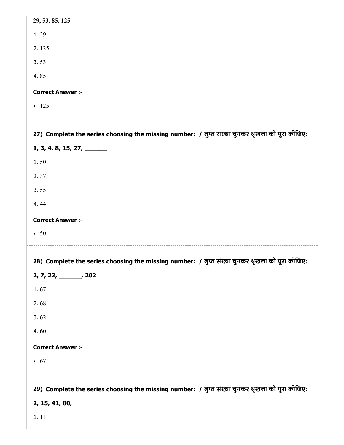| 29, 53, 85, 125                                                                                   |
|---------------------------------------------------------------------------------------------------|
| 1.29                                                                                              |
| 2.125                                                                                             |
| 3.53                                                                                              |
| 4.85                                                                                              |
| <b>Correct Answer :-</b>                                                                          |
| $-125$                                                                                            |
|                                                                                                   |
| 27) Complete the series choosing the missing number: / लुप्त संख्या चुनकर श्रृंखला को पूरा कीजिए: |
| 1, 3, 4, 8, 15, 27, $\_\_$                                                                        |
| 1.50                                                                                              |
| 2.37                                                                                              |
| 3.55                                                                                              |
| 4.44                                                                                              |
| <b>Correct Answer :-</b>                                                                          |
| $\bullet$ 50                                                                                      |
| 28) Complete the series choosing the missing number: / लुप्त संख्या चुनकर श्रृंखला को पूरा कीजिए: |
| $2, 7, 22, \underline{\hspace{1cm}} 202$                                                          |
| 1.67                                                                                              |
| 2.68                                                                                              |
| 3.62                                                                                              |
| 4.60                                                                                              |
| <b>Correct Answer :-</b>                                                                          |
| $\bullet$ 67                                                                                      |
|                                                                                                   |
| 29) Complete the series choosing the missing number: / लुप्त संख्या चुनकर श्रृंखला को पूरा कीजिए: |
| $2, 15, 41, 80, \_\_$                                                                             |
| 1.111                                                                                             |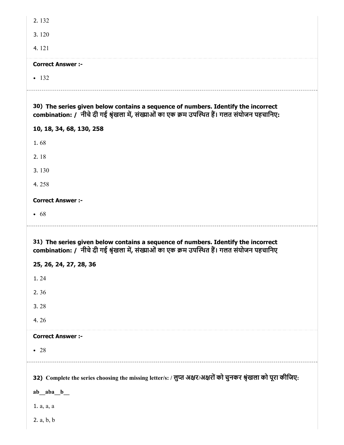| 2.132                                                                                                                                                                                                                                      |
|--------------------------------------------------------------------------------------------------------------------------------------------------------------------------------------------------------------------------------------------|
| 3.120                                                                                                                                                                                                                                      |
| 4.121                                                                                                                                                                                                                                      |
| <b>Correct Answer :-</b>                                                                                                                                                                                                                   |
| $-132$                                                                                                                                                                                                                                     |
| 30) The series given below contains a sequence of numbers. Identify the incorrect<br>combination: / नीचे दी गई श्रृंखला में, संख्याओं का एक क्रम उपस्थित हैं। गलत संयोजन पहचानिए:                                                          |
| 10, 18, 34, 68, 130, 258                                                                                                                                                                                                                   |
| 1.68                                                                                                                                                                                                                                       |
| 2.18                                                                                                                                                                                                                                       |
| 3.130                                                                                                                                                                                                                                      |
| 4.258                                                                                                                                                                                                                                      |
| <b>Correct Answer :-</b>                                                                                                                                                                                                                   |
| • 68                                                                                                                                                                                                                                       |
| 31) The series given below contains a sequence of numbers. Identify the incorrect<br>combination: / नीचे दी गई श्रृंखला में, संख्याओं का एक क्रम उपस्थित हैं। गलत संयोजन पहचानिए<br>25, 26, 24, 27, 28, 36<br>1.24<br>2.36<br>3.28<br>4.26 |
| <b>Correct Answer :-</b>                                                                                                                                                                                                                   |
| $\bullet$ 28                                                                                                                                                                                                                               |
| 32) Complete the series choosing the missing letter/s: / लुप्त अक्षर/अक्षरों को चुनकर श्रृंखला को पूरा कीजिए:<br>$ab_$ aba_ $b_$<br>1. a, a, a                                                                                             |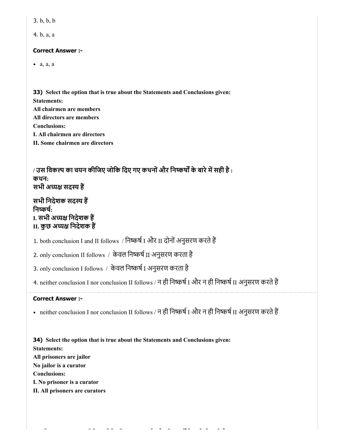| b, b, b | .כ |  |  |  |
|---------|----|--|--|--|
|---------|----|--|--|--|

4. b, a, a

#### Correct Answer :-

a, a, a

33) Select the option that is true about the Statements and Conclusions given: Statements: All chairmen are members All directors are members Conclusions: I. All chairmen are directors II. Some chairmen are directors

/ उस विकल्प का चयन कीजिए जोकि दिए गए कथनों और निष्कर्षों के बारे में सही है : कथन: सभी अध्यक्ष सदस्य हैं

सभी निदेशक सदस्य हैं निष्कर्ष: I. सभी अध्यक्ष निदेशक हैं II. कुछ अध्यक्ष निदेशक हैं

1. both conclusion I and II follows / निष्कर्ष I और II दोनों अनुसरण करते हैं

2. only conclusion II follows / केवल निष्कर्ष II अनुसरण करता है

3. only conclusion I follows / केवल निष्कर्ष I अनुसरण करता है

4. neither conclusion I nor conclusion II follows / न ही निष्कर्ष I और न ही निष्कर्ष II अनुसरण करते हैं

#### Correct Answer :-

• neither conclusion I nor conclusion II follows / न ही निष्कर्ष I और न ही निष्कर्ष II अनुसरण करते हैं

34) Select the option that is true about the Statements and Conclusions given: Statements: All prisoners are jailor No jailor is a curator Conclusions: I. No prisoner is a curator

II. All prisoners are curators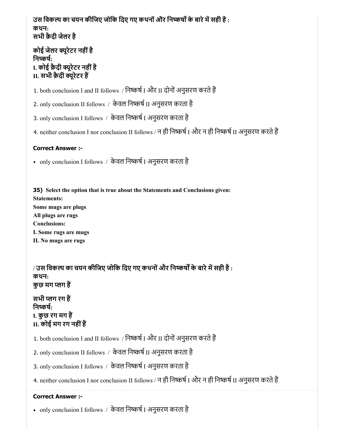## उस विकल्प का चयन कीजिए जोकि दिए गए कथनों और निष्कर्षों के बारे में सही है : कथन: सभी क़ैदी जेलर है

## कोई जेलर यूरेटर नहींहै निष्कर्ष: I. कोई क़ैदी यूरेटर नहींहै II. सभी क़ैदी यूरेटर ह

1. both conclusion I and II follows / निष्कर्ष I और II दोनों अनुसरण करते हैं

2. only conclusion II follows / केवल निष्कर्ष II अनुसरण करता है

3. only conclusion I follows / केवल निष्कर्ष I अनुसरण करता है

4. neither conclusion I nor conclusion II follows / न ही निष्कर्ष I और न ही निष्कर्ष II अनुसरण करते हैं

### Correct Answer :-

• only conclusion I follows / केवल निष्कर्ष I अनुसरण करता है

35) Select the option that is true about the Statements and Conclusions given: Statements: Some mugs are plugs All plugs are rugs Conclusions: I. Some rugs are mugs II. No mugs are rugs

/ उस विकल्प का चयन कीजिए जोकि दिए गए कथनों और निष्कर्षों के बारे में सही है : कथन: कुछ मग लग ह

सभी लग रग ह निष्कर्ष: I. कुछ रग मग ह II. कोई मग रग नहींह

1. both conclusion I and II follows / निष्कर्ष I और II दोनों अनुसरण करते हैं

2. only conclusion II follows / केवल निष्कर्ष II अनुसरण करता है

3. only conclusion I follows / केवल निष्कर्ष I अनुसरण करता है

4. neither conclusion I nor conclusion II follows / न ही निष्कर्ष I और न ही निष्कर्ष II अनुसरण करते हैं

#### Correct Answer :-

• only conclusion I follows / केवल निष्कर्ष I अनुसरण करता है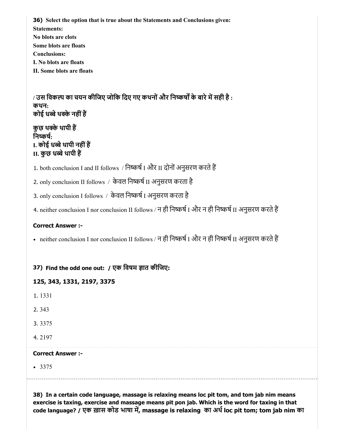36) Select the option that is true about the Statements and Conclusions given: Statements: No blots are clots Some blots are floats Conclusions: I. No blots are floats

II. Some blots are floats

/ उस विकल्प का चयन कीजिए जोकि दिए गए कथनों और निष्कर्षों के बारे में सही है : कथन: कोई धबेथकेनहींह

कुछ थके थापी ह निष्कर्ष: I. कोई धब्बे थापी नहीं हैं II. कुछ धब्बे थापी हैं

1. both conclusion I and II follows / निष्कर्ष I और II दोनों अनुसरण करते हैं

2. only conclusion II follows / केवल निष्कर्ष II अनुसरण करता है

3. only conclusion I follows / केवल निष्कर्ष I अनुसरण करता है

4. neither conclusion I nor conclusion II follows / न ही निष्कर्ष I और न ही निष्कर्ष II अनुसरण करते हैं

#### Correct Answer :-

• neither conclusion I nor conclusion II follows / न ही निष्कर्ष I और न ही निष्कर्ष II अनुसरण करते हैं

37) Find the odd one out: / एक विषम ज्ञात कीजिए:

125, 343, 1331, 2197, 3375

1. 1331

2. 343

3. 3375

4. 2197

#### Correct Answer :-

• 3375

38) In a certain code language, massage is relaxing means loc pit tom, and tom jab nim means exercise is taxing, exercise and massage means pit pon jab. Which is the word for taxing in that code language? / एक ख़ास कोड भाषा में, massage is relaxing का अर्थ loc pit tom; tom jab nim का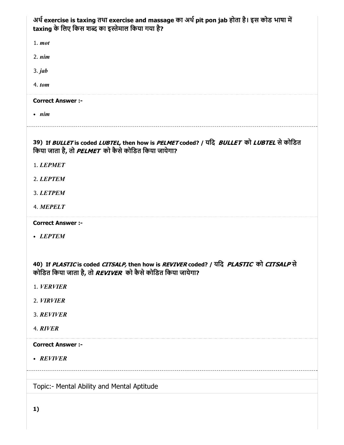| अर्थ exercise is taxing तथा exercise and massage का अर्थ pit pon jab होता है। इस कोड भाषा में<br>taxing के लिए किस शब्द का इस्तेमाल किया गया है?            |
|-------------------------------------------------------------------------------------------------------------------------------------------------------------|
| $1.$ $mot$                                                                                                                                                  |
| 2. nim                                                                                                                                                      |
| $3.$ jab                                                                                                                                                    |
| $4.$ tom                                                                                                                                                    |
| <b>Correct Answer :-</b>                                                                                                                                    |
| $\cdot$ nim                                                                                                                                                 |
| 39) If BULLET is coded LUBTEL, then how is PELMET coded? / यदि BULLET को LUBTEL से कोडित<br>किया जाता है, तो <i>PELMET</i> को कैसे कोडित किया जायेगा?       |
| 1. LEPMET                                                                                                                                                   |
| 2. LEPTEM                                                                                                                                                   |
| 3. LETPEM                                                                                                                                                   |
| 4. MEPELT                                                                                                                                                   |
| <b>Correct Answer :-</b>                                                                                                                                    |
| • LEPTEM                                                                                                                                                    |
|                                                                                                                                                             |
| 40) If PLASTIC is coded CITSALP, then how is REVIVER coded? / यदि PLASTIC को CITSALP से<br>कोडित किया जाता है, तो <i>REVIVER</i> को कैसे कोडित किया जायेगा? |
| 1. VERVIER                                                                                                                                                  |
| 2. VIRVIER                                                                                                                                                  |
| 3. REVIVER                                                                                                                                                  |
| 4. RIVER                                                                                                                                                    |
| <b>Correct Answer :-</b>                                                                                                                                    |
| • REVIVER                                                                                                                                                   |
|                                                                                                                                                             |
| Topic:- Mental Ability and Mental Aptitude                                                                                                                  |
|                                                                                                                                                             |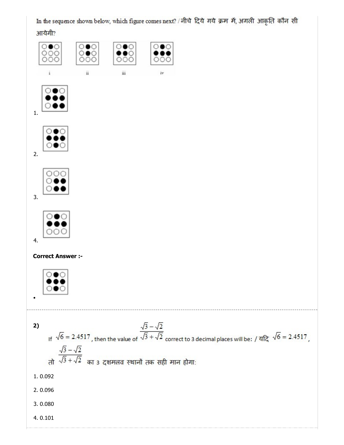In the sequence shown below, which figure comes next? / नीचे दिये गये क्रम में, अगली आकृति कौन सी

आयेगी?

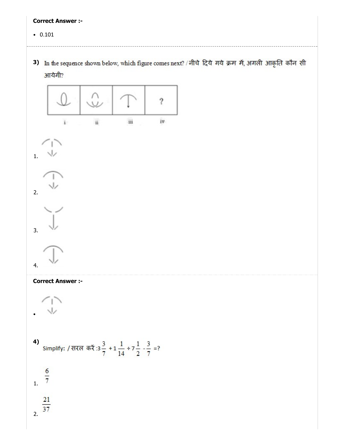$\bullet$  0.101

3) In the sequence shown below, which figure comes next? / नीचे दिये गये क्रम में, अगली आकृति कौन सी आयेगी?





2.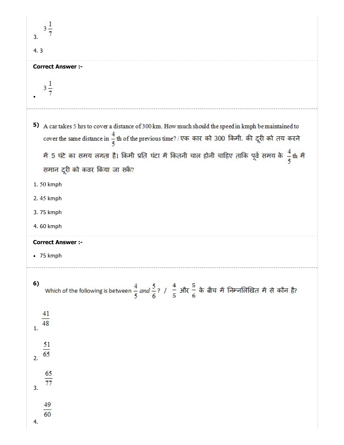| $3\frac{1}{2}$<br>3.                                                                                                                                               |
|--------------------------------------------------------------------------------------------------------------------------------------------------------------------|
| 4.3                                                                                                                                                                |
| <b>Correct Answer :-</b>                                                                                                                                           |
| $3\frac{1}{7}$                                                                                                                                                     |
| A car takes 5 hrs to cover a distance of 300 km. How much should the speed in kmph be maintained to<br>5)                                                          |
| cover the same distance in $\frac{4}{5}$ th of the previous time? / एक कार को 300 किमी. की दूरी को तय करने                                                         |
| में 5 घंटे का समय लगता है। किमी प्रति घंटा में कितनी चाल होनी चाहिए ताकि पूर्व समय के $\frac{4}{5}$ th में<br>समान दूरी को कवर किया जा सकें?                       |
| 1.50 kmph                                                                                                                                                          |
| 2.45 kmph                                                                                                                                                          |
| 3.75 kmph                                                                                                                                                          |
| 4.60 kmph                                                                                                                                                          |
| <b>Correct Answer :-</b>                                                                                                                                           |
| $\bullet$ 75 kmph                                                                                                                                                  |
| 6)<br>Which of the following is between $\frac{4}{5}$ and $\frac{5}{6}$ ? / $\frac{4}{5}$ और $\frac{5}{6}$ के बीच में निम्नलिखित में से कौन है?<br>$\frac{41}{48}$ |
| $\mathbf{1}$ .                                                                                                                                                     |
| $\frac{51}{65}$                                                                                                                                                    |
| $\frac{65}{77}$<br>3.                                                                                                                                              |
| $\frac{49}{60}$<br>4.                                                                                                                                              |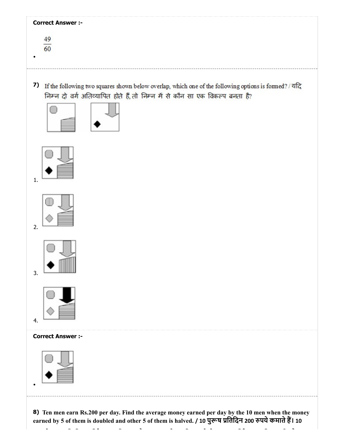| <b>Correct Answer :-</b>                                                                                                                                                                                        |
|-----------------------------------------------------------------------------------------------------------------------------------------------------------------------------------------------------------------|
| 49<br>$\overline{60}$                                                                                                                                                                                           |
| 7)<br>If the following two squares shown below overlap, which one of the following options is formed? / यदि<br>निम्न दो वर्ग अतिव्यापित होते हैं, तो निम्न में से कौन सा एक विकल्प बनता है?                     |
| 1.                                                                                                                                                                                                              |
| 2.                                                                                                                                                                                                              |
| 3.                                                                                                                                                                                                              |
| 4.                                                                                                                                                                                                              |
| <b>Correct Answer :-</b>                                                                                                                                                                                        |
|                                                                                                                                                                                                                 |
| 8) Ten men earn Rs.200 per day. Find the average money earned per day by the 10 men when the money<br>earned by 5 of them is doubled and other 5 of them is halved. / 10 पुरूष प्रतिदिन 200 रुपये कमाते हैं। 10 |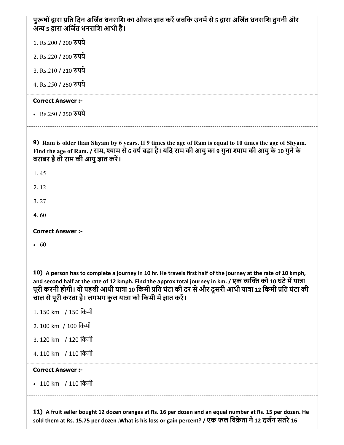| पुरूषों द्वारा प्रति दिन अर्जित धनराशि का औसत ज्ञात करें जबकि उनमें से 5 द्वारा अर्जित धनराशि दुगनी और<br>अन्य 5 द्वारा अर्जित धनराशि आधी है।                                                                                                                                                                                                                                                                |
|--------------------------------------------------------------------------------------------------------------------------------------------------------------------------------------------------------------------------------------------------------------------------------------------------------------------------------------------------------------------------------------------------------------|
| 1. Rs.200 / 200 रुपये                                                                                                                                                                                                                                                                                                                                                                                        |
| 2. Rs.220 / 200 रुपये                                                                                                                                                                                                                                                                                                                                                                                        |
| 3. Rs.210 / 210 रुपये                                                                                                                                                                                                                                                                                                                                                                                        |
| 4. Rs.250 / 250 रुपये                                                                                                                                                                                                                                                                                                                                                                                        |
| <b>Correct Answer :-</b>                                                                                                                                                                                                                                                                                                                                                                                     |
| • Rs.250 / 250 रुपये                                                                                                                                                                                                                                                                                                                                                                                         |
| 9) Ram is older than Shyam by 6 years. If 9 times the age of Ram is equal to 10 times the age of Shyam.<br>Find the age of Ram. / राम, श्याम से 6 वर्ष बड़ा है। यदि राम की आयु का 9 गुना श्याम की आयु के 10 गुने के<br>बराबर है तो राम की आयु ज्ञात करें।                                                                                                                                                    |
| 1.45                                                                                                                                                                                                                                                                                                                                                                                                         |
| 2.12                                                                                                                                                                                                                                                                                                                                                                                                         |
| 3.27                                                                                                                                                                                                                                                                                                                                                                                                         |
| 4.60                                                                                                                                                                                                                                                                                                                                                                                                         |
|                                                                                                                                                                                                                                                                                                                                                                                                              |
| <b>Correct Answer :-</b>                                                                                                                                                                                                                                                                                                                                                                                     |
| $\cdot$ 60                                                                                                                                                                                                                                                                                                                                                                                                   |
|                                                                                                                                                                                                                                                                                                                                                                                                              |
| 10) A person has to complete a journey in 10 hr. He travels first half of the journey at the rate of 10 kmph,<br>and second half at the rate of 12 kmph. Find the approx total journey in km. / एक व्यक्ति को 10 घंटे में यात्रा<br>पूरी करनी होगी। वो पहली आधी यात्रा 10 किमी प्रति घंटा की दर से और दूसरी आधी यात्रा 12 किमी प्रति घंटा की<br>चाल से पूरी करता है। लगभग कुल यात्रा को किमी में ज्ञात करें। |
| 1. 150 km / 150 किमी                                                                                                                                                                                                                                                                                                                                                                                         |
| 2. 100 km / 100 किमी                                                                                                                                                                                                                                                                                                                                                                                         |
| 3. 120 km / 120 किमी                                                                                                                                                                                                                                                                                                                                                                                         |
| 4. 110 km / 110 किमी                                                                                                                                                                                                                                                                                                                                                                                         |
| <b>Correct Answer :-</b>                                                                                                                                                                                                                                                                                                                                                                                     |
| • 110 km / 110 किमी                                                                                                                                                                                                                                                                                                                                                                                          |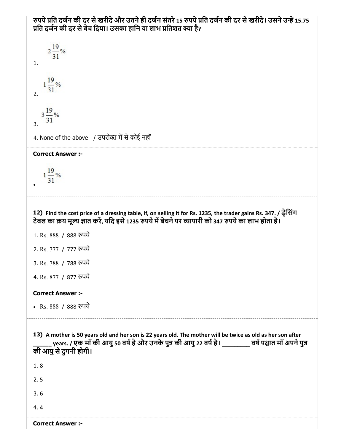रुपये प्रति दर्जन की दर से खरीदे और उतने ही दर्जन संतरे 15 रुपये प्रति दर्जन की दर से खरीदे। उसने उन्हें 15.75 प्रति दर्जन की दर से बेच दिया। उसका हानि या लाभ प्रतिशत क्या है?

 $2\frac{19}{31}$ % 1.  $1\frac{19}{31}$ % 2.  $3\frac{19}{31}$ % 3. 4. None of the above / उपरोक्त में से कोई नहीं Correct Answer :-  $1\frac{19}{31}$ % 12) Find the cost price of a dressing table, if, on selling it for Rs. 1235, the trader gains Rs. 347. / डेिसंग टेबल का क्रय मूल्य ज्ञात करें, यदि इसे 1235 रुपये में बेचने पर व्यापारी को 347 रुपये का लाभ होता है। 1. Rs. 888 / 888 पये 2. Rs. 777 / 777 पये 3. Rs. 788 / 788 पये 4. Rs. 877 / 877 पये Correct Answer :- • Rs. 888 / 888 रुपये 13) A mother is 50 years old and her son is 22 years old. The mother will be twice as old as her son after \_\_\_\_\_ years. / एक माँ की आयु 50 वर्ष है और उनके पुत्र की आयु 22 वर्ष है। \_\_\_\_\_\_\_\_\_\_ वर्ष पश्चात माँ अपने पुत्र की आयुसेदुगनी होगी। 1. 8 2. 5 3. 6 4. 4

Correct Answer :-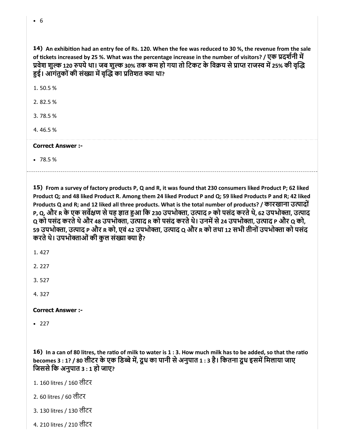| 14) An exhibition had an entry fee of Rs. 120. When the fee was reduced to 30 %, the revenue from the sale   |
|--------------------------------------------------------------------------------------------------------------|
| of tickets increased by 25 %. What was the percentage increase in the number of visitors? / एक प्रदर्शनी में |
| प्रवेश शुल्क 120 रुपये था। जब शुल्क 30% तक कम हो गया तो टिकट के विक्रय से प्राप्त राजस्व में 25% की वृद्धि   |
| हुई। आंगंतुकों की संख्या में वृद्धि का प्रतिशत क्या था?                                                      |

1. 50.5 %

2. 82.5 %

3. 78.5 %

4. 46.5 %

#### Correct Answer :-

78.5 %

15) From a survey of factory products P, Q and R, it was found that 230 consumers liked Product P; 62 liked Product Q; and 48 liked Product R. Among them 24 liked Product P and Q; 59 liked Products P and R; 42 liked Products Q and R; and 12 liked all three products. What is the total number of products? / कारखाना उत्पादों P, Q, और R के एक सर्वेक्षण से यह ज्ञात हुआ कि 230 उपभोक्ता, उत्पाद P को पसंद करते थे, 62 उपभोक्ता, उत्पाद Q को पसंद करते थे और 48 उपभोक्ता, उत्पाद R को पसंद करते थे। उनमें से 24 उपभोक्ता, उत्पाद P और Q को, 59 उपभोक्ता, उत्पाद P और R को, एवं 42 उपभोक्ता, उत्पाद Q और R को तथा 12 सभी तीनों उपभोक्ता को पसंद करते थे। उपभोक्ताओं की कुल संख्या क्या है?

1. 427

2. 227

3. 527

4. 327

Correct Answer :-

 $• 227$ 

16) In a can of 80 litres, the ratio of milk to water is 1 : 3. How much milk has to be added, so that the ratio becomes 3 : 1? / 80 लीटर के एक डिब्बे में, दूध का पानी से अनुपात 1 : 3 है। कितना दूध इसमें मिलाया जाए जिससे कि अनुपात  $3:1$  हो जाए?

1. 160 litres / 160 लीटर

- 2. 60 litres / 60 लीटर
- 3. 130 litres / 130 लीटर
- 4. 210 litres / 210 लीटर

6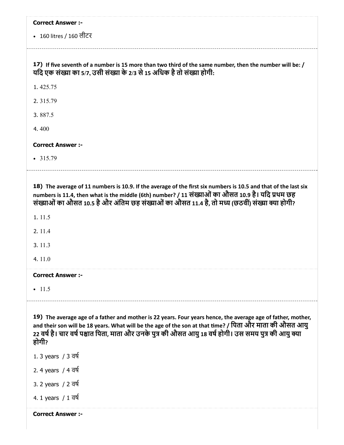| <b>Correct Answer :-</b>                                                                                                                                                                                                                                                                                                                   |
|--------------------------------------------------------------------------------------------------------------------------------------------------------------------------------------------------------------------------------------------------------------------------------------------------------------------------------------------|
| • 160 litres / 160 लीटर                                                                                                                                                                                                                                                                                                                    |
| 17) If five seventh of a number is 15 more than two third of the same number, then the number will be: /<br>यदि एक संख्या का 5/7, उसी संख्या के 2/3 से 15 अधिक है तो संख्या होगी:                                                                                                                                                          |
| 1.425.75                                                                                                                                                                                                                                                                                                                                   |
| 2.315.79                                                                                                                                                                                                                                                                                                                                   |
| 3.887.5                                                                                                                                                                                                                                                                                                                                    |
| 4.400                                                                                                                                                                                                                                                                                                                                      |
| <b>Correct Answer :-</b>                                                                                                                                                                                                                                                                                                                   |
| $\cdot$ 315.79                                                                                                                                                                                                                                                                                                                             |
| 18) The average of 11 numbers is 10.9. If the average of the first six numbers is 10.5 and that of the last six<br>numbers is 11.4, then what is the middle (6th) number? / 11 संख्याओं का औसत 10.9 है। यदि प्रथम छह<br>संख्याओं का औसत 10.5 है और अंतिम छह संख्याओं का औसत 11.4 है, तो मध्य (छठवीं) संख्या क्या होगी?                     |
| 1.11.5                                                                                                                                                                                                                                                                                                                                     |
| 2. 11.4                                                                                                                                                                                                                                                                                                                                    |
| 3.11.3                                                                                                                                                                                                                                                                                                                                     |
| 4.11.0                                                                                                                                                                                                                                                                                                                                     |
| <b>Correct Answer :-</b>                                                                                                                                                                                                                                                                                                                   |
| $-11.5$                                                                                                                                                                                                                                                                                                                                    |
| 19) The average age of a father and mother is 22 years. Four years hence, the average age of father, mother,<br>and their son will be 18 years. What will be the age of the son at that time? / पिता और माता की औसत आयु<br>22 वर्ष है। चार वर्ष पश्चात पिता, माता और उनके पुत्र की औसत आयु 18 वर्ष होगी। उस समय पुत्र की आयु क्या<br>होगी? |
| 1. 3 years / 3 वर्ष                                                                                                                                                                                                                                                                                                                        |
| 2. 4 years / 4 वर्ष                                                                                                                                                                                                                                                                                                                        |
| 3. 2 years / 2 वर्ष                                                                                                                                                                                                                                                                                                                        |
| 4. 1 years $/1$ $\overline{q}$                                                                                                                                                                                                                                                                                                             |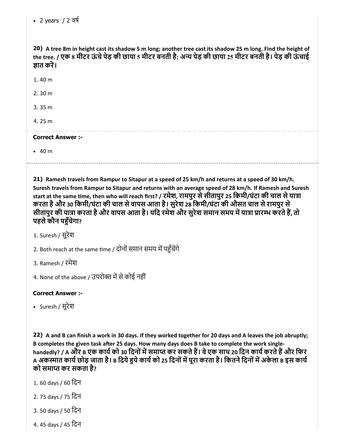20) A tree 8m in height cast its shadow 5 m long; another tree cast its shadow 25 m long. Find the height of the tree. / एक 8 मीटर ऊंचे पेड़ की छाया 5 मीटर बनती है; अन्य पेड़ की छाया 25 मीटर बनती है। पेड़ की ऊंचाई ज्ञात करें।

1. 40 m

2. 30 m

3. 35 m

4. 25 m

#### Correct Answer :-

40 m

21) Ramesh travels from Rampur to Sitapur at a speed of 25 km/h and returns at a speed of 30 km/h. Suresh travels from Rampur to Sitapur and returns with an average speed of 28 km/h. If Ramesh and Suresh start at the same time, then who will reach first? / रमेश, रामपुर से सीतापुर 25 किमी/घंटा की चाल से यात्रा करता हैऔर 30 िकमी/घंटा की चाल सेवापस आता है। सुरेश 28 िकमी/घंटा की औसत चाल सेरामपुर से सीतापुर की यात्रा करता है और वापस आता है। यदि रमेश और सुरेश समान समय में यात्रा प्रारम्भ करते हैं, तो पहले कौन पहुँचेगा?

1. Suresh / सुरेश

2. Both reach at the same time / दोनों समान समय में पहुँचेंगे

3. Ramesh / रमेश

4. None of the above / उपरोक्त में से कोई नहीं

Correct Answer :-

• Suresh / सुरेश

22) A and B can finish a work in 30 days. If they worked together for 20 days and A leaves the job abruptly; B completes the given task after 25 days. How many days does B take to complete the work singlehandedly? / A और B एक कार्य को 30 दिनों में समाप्त कर सकते हैं। वे एक साथ 20 दिन कार्य करते हैं और फिर A अकस्मात कार्य छोड़ जाता है। B दिये हुये कार्य को 25 दिनों में पूरा करता है। कितने दिनों में अकेला B इस कार्य को समाप्त कर सकता है?

- 1. 60 days / 60 िदन
- 2. 75 days / 75 िदन
- 3. 50 days / 50 िदन
- 4. 45 days / 45 िदन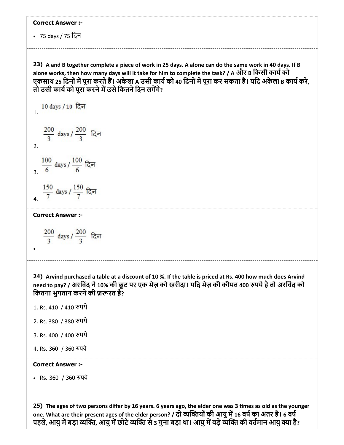75 days / 75 िदन

23) A and B together complete a piece of work in 25 days. A alone can do the same work in 40 days. If B alone works, then how many days will it take for him to complete the task? / A और B किसी कार्य को एकसाथ 25 दिनों में पूरा करते हैं। अकेला A उसी कार्य को 40 दिनों में पूरा कर सकता है। यदि अकेला B कार्य करे, तो उसी कार्य को पूरा करने में उसे कितने दिन लगेंगे?

10 days / 10 दिन 1.  $\frac{200}{3}$  days /  $\frac{200}{3}$  दिन 2.  $\frac{100}{6}$  days /  $\frac{100}{6}$  दिन 3.

$$
4. \frac{150}{7} \text{ days} / \frac{150}{7} \text{cm}
$$

Correct Answer :-

 $\frac{200}{3}$  days /  $\frac{200}{3}$  दिन

24) Arvind purchased a table at a discount of 10 %. If the table is priced at Rs. 400 how much does Arvind need to pay? / अरविंद ने 10% की छूट पर एक मेज़ को खरीदा। यदि मेज़ की कीमत 400 रुपये है तो अरविंद को कितना भुगतान करने की ज़रूरत है?

- 1. Rs. 410 / 410 पये
- 2. Rs. 380 / 380 पये
- 3. Rs. 400 / 400 पये
- 4. Rs. 360 / 360 पये

#### Correct Answer :-

• Rs. 360 / 360 रुपये

25) The ages of two persons differ by 16 years. 6 years ago, the elder one was 3 times as old as the younger one. What are their present ages of the elder person? / दो व्यक्तियों की आयु में 16 वर्ष का अंतर है। 6 वर्ष पहले, आयु में बड़ा व्यक्ति, आयु में छोटे व्यक्ति से 3 गुना बड़ा था। आयु में बड़े व्यक्ति की वर्तमान आयु क्या है?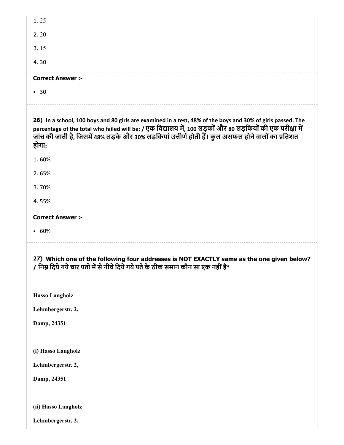| $\cdot$ 30               |  |  |  |
|--------------------------|--|--|--|
| <b>Correct Answer :-</b> |  |  |  |
| 4.30                     |  |  |  |
| 3.15                     |  |  |  |
| 2.20                     |  |  |  |
| 1.25                     |  |  |  |

26) In a school, 100 boys and 80 girls are examined in a test, 48% of the boys and 30% of girls passed. The percentage of the total who failed will be: / एक विद्यालय में, 100 लड़कों और 80 लड़कियों की एक परीक्षा में जांच की जाती है, जिसमें 48% लड़के और 30% लड़कियां उत्तीर्ण होती हैं। कुल असफल होने वालों का प्रतिशत होगा:

1. 60%

2. 65%

3. 70%

4. 55%

Correct Answer :-

60%

27) Which one of the following four addresses is NOT EXACTLY same as the one given below? / निम्न दिये गये चार पतों में से नीचे दिये गये पते के ठीक समान कौन सा एक नहीं है?

Hasso Langholz

Lehmbergerstr. 2,

Damp, 24351

(i) Hasso Langholz

Lehmbergerstr. 2,

Damp, 24351

(ii) Hasso Langholz

Lehmbergerstr. 2,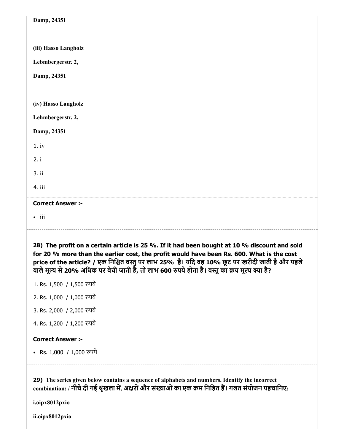| Damp, 24351                                                                                                                                                                                                                                                                                                                                                                                    |
|------------------------------------------------------------------------------------------------------------------------------------------------------------------------------------------------------------------------------------------------------------------------------------------------------------------------------------------------------------------------------------------------|
|                                                                                                                                                                                                                                                                                                                                                                                                |
| (iii) Hasso Langholz                                                                                                                                                                                                                                                                                                                                                                           |
| Lebmbergerstr. 2,                                                                                                                                                                                                                                                                                                                                                                              |
| Damp, 24351                                                                                                                                                                                                                                                                                                                                                                                    |
|                                                                                                                                                                                                                                                                                                                                                                                                |
| (iv) Hasso Langholz                                                                                                                                                                                                                                                                                                                                                                            |
| Lehmbergerstr. 2,                                                                                                                                                                                                                                                                                                                                                                              |
| Damp, 24351                                                                                                                                                                                                                                                                                                                                                                                    |
| 1.iv                                                                                                                                                                                                                                                                                                                                                                                           |
| 2. i                                                                                                                                                                                                                                                                                                                                                                                           |
| 3.ii                                                                                                                                                                                                                                                                                                                                                                                           |
| 4. iii                                                                                                                                                                                                                                                                                                                                                                                         |
| <b>Correct Answer :-</b>                                                                                                                                                                                                                                                                                                                                                                       |
| $\bullet$ iii                                                                                                                                                                                                                                                                                                                                                                                  |
|                                                                                                                                                                                                                                                                                                                                                                                                |
| 28) The profit on a certain article is 25 %. If it had been bought at 10 % discount and sold<br>for 20 % more than the earlier cost, the profit would have been Rs. 600. What is the cost<br>price of the article? / एक निश्चित वस्तु पर लाभ 25% है। यदि वह 10% छूट पर खरीदी जाती है और पहले<br>वाले मूल्य से 20% अधिक पर बेची जाती है, तो लाभ 600 रुपये होता है। वस्तु का क्रय मूल्य क्या है? |
| 1. Rs. 1,500 / 1,500 रुपये                                                                                                                                                                                                                                                                                                                                                                     |
| 2. Rs. 1,000 / 1,000 रुपये                                                                                                                                                                                                                                                                                                                                                                     |
| 3. Rs. 2,000 / 2,000 रुपये                                                                                                                                                                                                                                                                                                                                                                     |
| 4. Rs. 1,200 / 1,200 रुपये                                                                                                                                                                                                                                                                                                                                                                     |
| <b>Correct Answer :-</b>                                                                                                                                                                                                                                                                                                                                                                       |
| • Rs. 1,000 / 1,000 रुपये                                                                                                                                                                                                                                                                                                                                                                      |
| 29) The series given below contains a sequence of alphabets and numbers. Identify the incorrect<br>combination: / नीचे दी गई श्रृंखला में, अक्षरों और संख्याओं का एक क्रम निहित हैं। गलत संयोजन पहचानिए:                                                                                                                                                                                       |

ii.oipx8012pxio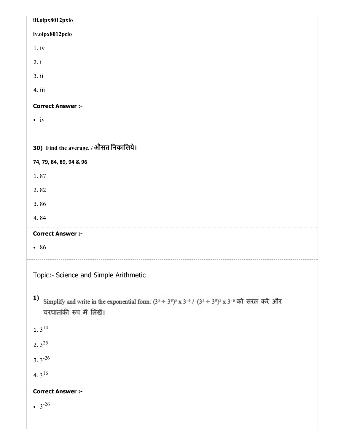| iii.oipx8012pxio                                                                                                                                                         |
|--------------------------------------------------------------------------------------------------------------------------------------------------------------------------|
| iv.oipx8012pcio                                                                                                                                                          |
| 1.iv                                                                                                                                                                     |
| 2. i                                                                                                                                                                     |
| 3. ii                                                                                                                                                                    |
| 4. iii                                                                                                                                                                   |
| <b>Correct Answer :-</b>                                                                                                                                                 |
| $\bullet$ iv                                                                                                                                                             |
|                                                                                                                                                                          |
| 30) Find the average. / औसत निकालिये।                                                                                                                                    |
| 74, 79, 84, 89, 94 & 96                                                                                                                                                  |
| 1.87                                                                                                                                                                     |
| 2.82                                                                                                                                                                     |
| 3.86                                                                                                                                                                     |
| 4.84                                                                                                                                                                     |
| <b>Correct Answer :-</b>                                                                                                                                                 |
| • 86                                                                                                                                                                     |
|                                                                                                                                                                          |
| Topic:- Science and Simple Arithmetic                                                                                                                                    |
| 1)<br>Simplify and write in the exponential form: $(3^5 \div 3^9)^5$ x 3 <sup>-6</sup> / $(3^5 \div 3^9)^5$ x 3 <sup>-6</sup> को सरल करें और<br>चरघातांकी रूप में लिखें। |
| 1. $3^{14}$                                                                                                                                                              |
| 2. $3^{25}$                                                                                                                                                              |
| 3. $3^{-26}$                                                                                                                                                             |
| 4. $3^{16}$                                                                                                                                                              |
| <b>Correct Answer :-</b>                                                                                                                                                 |
| • $3^{-26}$                                                                                                                                                              |
|                                                                                                                                                                          |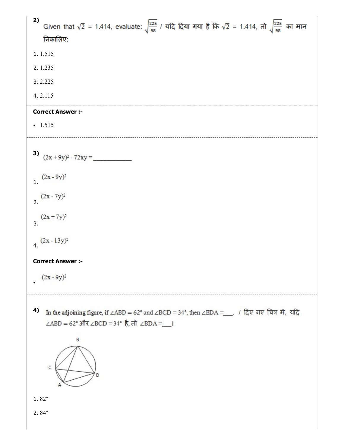| 2)<br>Given that $\sqrt{2}$ = 1.414, evaluate: $\sqrt{\frac{225}{98}}$ / यदि दिया गया है कि $\sqrt{2}$ = 1.414, तो $\sqrt{\frac{225}{98}}$ का मान<br>निकालिए: |
|---------------------------------------------------------------------------------------------------------------------------------------------------------------|
| 1.1.515                                                                                                                                                       |
| 2.1.235                                                                                                                                                       |
| 3.2.225                                                                                                                                                       |
| 4.2.115                                                                                                                                                       |
| <b>Correct Answer :-</b>                                                                                                                                      |
| $-1.515$                                                                                                                                                      |
| 3) $(2x+9y)^2 - 72xy =$                                                                                                                                       |
| $(2x-9y)^2$                                                                                                                                                   |
| $(2x - 7y)^2$                                                                                                                                                 |
| $(2x+7y)^2$                                                                                                                                                   |
| $(2x-13y)^2$                                                                                                                                                  |
| <b>Correct Answer :-</b>                                                                                                                                      |
| $(2x - 9y)^2$                                                                                                                                                 |
| 4)<br>In the adjoining figure, if ∠ABD = 62° and ∠BCD = 34°, then ∠BDA =__. / दिए गए चित्र में, यदि<br>∠ABD = 62° और ∠BCD = 34° है, तो ∠BDA =__ <br>B         |
| $\mathsf C$                                                                                                                                                   |
| $1.82^{\circ}$                                                                                                                                                |
| $2.84^{\circ}$                                                                                                                                                |
|                                                                                                                                                               |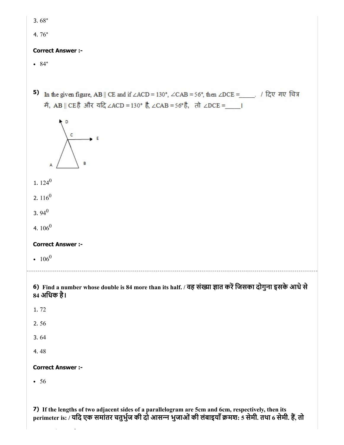3. 68°

4. 76°

#### Correct Answer :-

 $• 84°$ 

5) In the given figure, AB || CE and if  $\angle$ ACD = 130°,  $\angle$ CAB = 56°, then  $\angle$ DCE =  $\angle$  / दिए गए चित्र में, AB || CEहै और यदि ∠ACD = 130° है, ∠CAB = 56° है, तो ∠DCE = |



- 1.  $124^0$
- 2.  $116^0$
- 3. 94 $^0$
- 4.  $106^0$

#### Correct Answer :-

 $106^0$ 

### 6) Find a number whose double is 84 more than its half. / वह संख्या ज्ञात करें जिसका दोगुना इसके आधे से 84 अिधक है।

- 1. 72
- 2. 56
- 3. 64
- 4. 48

#### Correct Answer :-

• 56

7) If the lengths of two adjacent sides of a parallelogram are 5cm and 6cm, respectively, then its perimeter is: / यदि एक समांतर चतुर्भुज की दो आसन्न भुजाओं की लंबाइयाँ क्रमश: 5 सेमी. तथा 6 सेमी. हैं, तो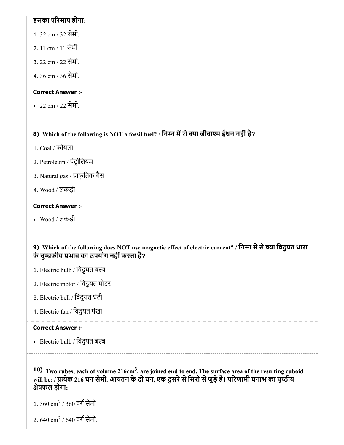## इसका परमाप होगा:

- 1. 32 cm / 32 सेमी.
- 2. 11 cm / 11 सेमी.
- 3. 22 cm / 22 सेमी.
- 4. 36 cm / 36 सेमी.

## Correct Answer :-

22 cm / 22 सेमी.

## 8) Which of the following is NOT a fossil fuel? / िनन मसेया जीवाम ईधं न नहींहै?

- 1. Coal / कोयला
- 2. Petroleum / पेटोिलयम
- 3. Natural gas / प्राकृतिक गैस
- 4. Wood / लकड़ी

## Correct Answer :-

Wood / लकड़ी

## 9) Which of the following does NOT use magnetic effect of electric current? / निम्न में से क्या विदुयत धारा के चुबकीय भाव का उपयोग नहींकरता है?

- 1. Electric bulb / विदुयत बल्ब
- 2. Electric motor / िवद्ुयत मोटर
- 3. Electric bell / िवद्ुयत घंटी
- 4. Electric fan / िवद्ुयत पंखा

## Correct Answer :-

• Electric bulb / विदुयत बल्ब

10) Two cubes, each of volume 216cm<sup>3</sup>, are joined end to end. The surface area of the resulting cuboid will be: / प्रत्येक 216 घन सेमी. आयतन के दो घन, एक दूसरे से सिरों से जुड़े हैं। परिणामी घनाभ का पृष्ठीय ेफल होगा:

- $1.360\ \mathrm{cm^2}$  / 360 वर्ग सेमी
- 2. 640  $\rm cm^2$  / 640 वर्ग सेमी.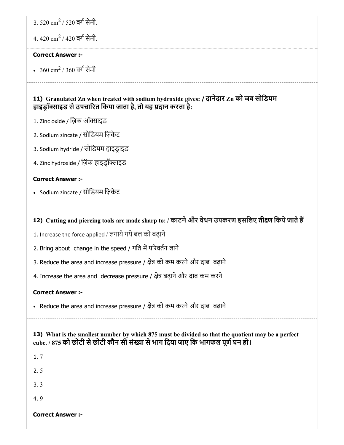3. 520  $\rm cm^2$  / 520 वर्ग सेमी.

4. 420  $\rm cm^2$  / 420 वर्ग सेमी.

#### Correct Answer :-

 $360\ {\rm cm}^2$  / 360 वर्ग सेमी

## 11) Granulated Zn when treated with sodium hydroxide gives: / दानेदार Zn को जब सोिडयम हाइड़ॉक्साइड से उपचारित किया जाता है, तो यह प्रदान करता है:

- 1. Zinc oxide / ज़िक ऑक्साइड
- 2. Sodium zincate / सोिडयम िज़ंकेट
- 3. Sodium hydride / सोिडयम हाइडाइड
- 4. Zinc hydroxide / ज़िंक हाइड्रॉक्साइड

#### Correct Answer :-

Sodium zincate / सोिडयम िज़ंकेट

## 12) Cutting and piercing tools are made sharp to: / काटने और वेधन उपकरण इसलिए तीक्ष्ण किये जाते हैं

- 1. Increase the force applied / लगाये गये बल को बढ़ाने
- 2. Bring about change in the speed / गति में परिवर्तन लाने
- 3. Reduce the area and increase pressure / क्षेत्र को कम करने और दाब बढ़ाने
- 4. Increase the area and decrease pressure / क्षेत्र बढ़ाने और दाब कम करने

#### Correct Answer :-

• Reduce the area and increase pressure / क्षेत्र को कम करने और दाब) बढ़ाने

## 13) What is the smallest number by which 875 must be divided so that the quotient may be a perfect cube. / 875 को छोटी से छोटी कौन सी संख्या से भाग दिया जाए कि भागफल पूर्ण घन हो।

1. 7

2. 5

3. 3

4. 9

Correct Answer :-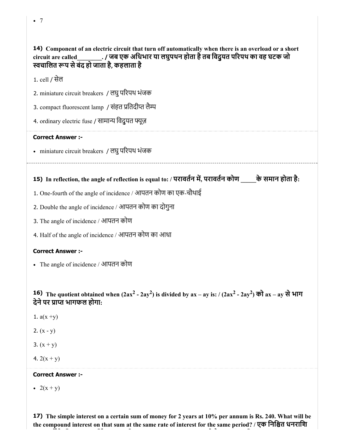14) Component of an electric circuit that turn off automatically when there is an overload or a short circuit are called\_\_\_\_\_\_\_\_. / जब एक अिधभार या लघुपथन होता हैतब िवद्ुयत परपथ का वह घटक जो स्वचालित रूप से बंद हो जाता है, कहलाता है

1. cell / सेल

2. miniature circuit breakers / लघुपरपथ भंजक

3. compact fluorescent lamp / संहत प्रतिदीप्त लैम्प

4. ordinary electric fuse / सामान्य विदुयत फ्यूज़

#### Correct Answer :-

miniature circuit breakers / लघुपरपथ भंजक

## 15) In reflection, the angle of reflection is equal to: / परावतन म, परावतन कोण \_\_\_\_\_के समान होता है:

- 1. One-fourth of the angle of incidence / आपतन कोण का एक-चौथाई
- 2. Double the angle of incidence / आपतन कोण का दोगुना
- 3. The angle of incidence / आपतन कोण
- 4. Half of the angle of incidence / आपतन कोण का आधा

#### Correct Answer :-

The angle of incidence / आपतन कोण

16) The quotient obtained when  $(2ax^2 - 2ay^2)$  is divided by  $ax - ay$  is: /  $(2ax^2 - 2ay^2)$  को  $ax - ay$  से भाग देने पर प्राप्त भागफल होगा:

- 1.  $a(x + y)$
- 2.  $(x y)$
- 3.  $(x + y)$
- 4.  $2(x + y)$

#### Correct Answer :-

•  $2(x + y)$ 

17) The simple interest on a certain sum of money for 2 years at 10% per annum is Rs. 240. What will be the compound interest on that sum at the same rate of interest for the same period? / एक निश्चित धनराशि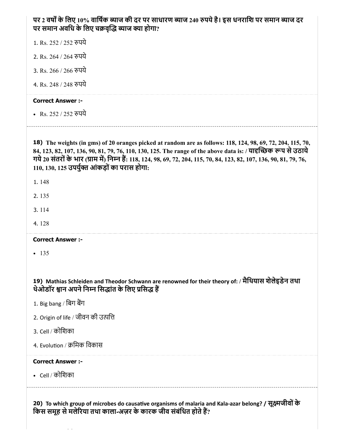| पर 2 वर्षों के लिए 10% वार्षिक ब्याज की दर पर साधारण ब्याज 240 रुपये है। इस धनराशि पर समान ब्याज दर<br>पर समान अवधि के लिए चक्रवृद्धि ब्याज क्या होगा? |
|--------------------------------------------------------------------------------------------------------------------------------------------------------|
| 1. Rs. 252 / 252 रुपये                                                                                                                                 |
| 2. Rs. 264 / 264 रुपये                                                                                                                                 |
| 3. Rs. 266 / 266 रुपये                                                                                                                                 |
| 4. Rs. 248 / 248 रुपये                                                                                                                                 |
|                                                                                                                                                        |

• Rs. 252 / 252 रुपये

18) The weights (in gms) of 20 oranges picked at random are as follows: 118, 124, 98, 69, 72, 204, 115, 70, 84, 123, 82, 107, 136, 90, 81, 79, 76, 110, 130, 125. The range of the above data is: / यादृच्छिक रूप से उठाये गये 20 संतरों के भार (ग्राम में) निम्न हैं: 118, 124, 98, 69, 72, 204, 115, 70, 84, 123, 82, 107, 136, 90, 81, 79, 76,  $110, 130, 125$  उपर्युक्त आंकड़ों का परास होगा:

- 1. 148
- 2. 135
- 3. 114
- 4. 128
- Correct Answer :-
- $-135$

19) Mathias Schleiden and Theodor Schwann are renowned for their theory of: / मैिथयास शेलेइडेन तथा थेओडॉर श्वान अपने निम्न सिद्धांत के लिए प्रसिद्ध हैं

- 1. Big bang / बिग बैंग
- 2. Origin of life / जीवन की उपि
- 3. Cell / कोिशका
- 4. Evolution / क्रमिक विकास

#### Correct Answer :-

Cell / कोिशका

20) To which group of microbes do causative organisms of malaria and Kala-azar belong? / सूक्ष्मजीवों के किस समूह से मलेरिया तथा काला-अज़र के कारक जीव संबंधित होते हैं?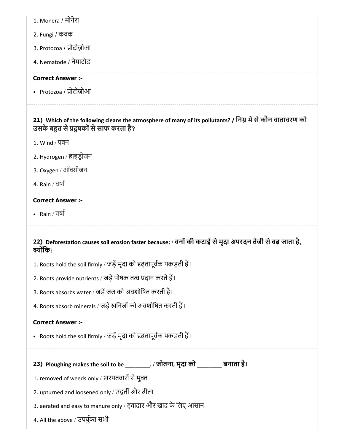- 1. Monera / मोनेरा
- 2. Fungi / कवक
- 3. Protozoa / प्रोटोज़ोआ
- 4. Nematode / नेमाटोड

• Protozoa / प्रोटोज़ोआ

## 21) Which of the following cleans the atmosphere of many of its pollutants? / निम्न में से कौन वातावरण को उसके बहुत से प्रदूषकों से साफ करता है?

- 1. Wind / पवन
- 2. Hydrogen / हाइडोजन
- 3. Oxygen / ऑक्सीजन
- 4. Rain / वषा

#### Correct Answer :-

• Rain / वर्षा

## 22) Deforestation causes soil erosion faster because: / वनों की कटाई से मृदा अपरदन तेजी से बढ़ जाता है, क्योंकि:

- 1. Roots hold the soil firmly / जड़ें मृदा को दृढ़तापूर्वक पकड़ती हैं।
- 2. Roots provide nutrients / जड़ें पोषक तत्व प्रदान करते हैं।
- 3. Roots absorbs water / जड़ें जल को अवशोषित करती हैं।
- 4. Roots absorb minerals / जड़ें खनिजों को अवशोषित करती हैं।

#### Correct Answer :-

- Roots hold the soil firmly / जड़ें मृदा को दृढ़तापूर्वक पकड़ती हैं।
- 

23) Ploughing makes the soil to be \_\_\_\_\_\_\_\_. / जोतना, मृदा को \_\_\_\_\_\_\_\_ बनाता है।

- 1. removed of weeds only / खरपतवारों से मुक्त
- 2. upturned and loosened only / उद्वर्ती और ढीला
- 3. aerated and easy to manure only / हवादार और खाद के िलए आसान
- 4. All the above / उपर्युक्त सभी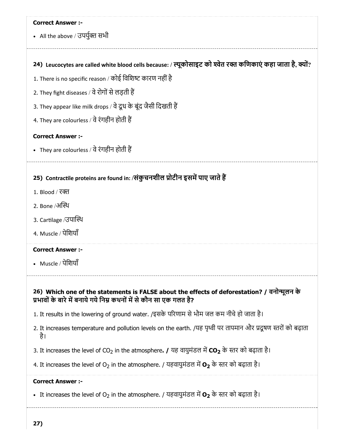# 24) Leucocytes are called white blood cells because: / ल्यूकोसाइट को श्वेत रक्त कर्णिकाएं कहा जाता है, क्यों? 25) Contractile proteins are found in: /संकुचनशील प्रोटीन इसमें पाए जाते हैं 26) Which one of the statements is FALSE about the effects of deforestation? / वनोूलन के Correct Answer :- • All the above / उपर्युक्त सभी 1. There is no specific reason / कोई विशिष्ट कारण नहीं है 2. They fight diseases / वे रोगों से लड़ती हैं 3. They appear like milk drops / वे दूध के बूंद जैसी दिखती हैं 4. They are colourless / वेरंगहीन होती ह Correct Answer :- • They are colourless / वे रंगहीन होती हैं 1. Blood / र 2. Bone /अथ 3. Cartilage /उपास्थि 4. Muscle / पेिशयाँ Correct Answer :- • Muscle / पेशियाँ प्रभावों के बारे में बनाये गये निम्न कथनों में से कौन सा एक गलत है? 1. It results in the lowering of ground water. /इसके परणाम सेभौम जल कम नीचेहो जाता है। 2. It increases temperature and pollution levels on the earth. /यह पृथ्वी पर तापमान और प्रदूषण स्तरों को बढ़ाता है। 3. It increases the level of CO<sub>2</sub> in the atmosphere. / यह वायुमंडल में CO<sub>2</sub> के स्तर को बढ़ाता है। 4. It increases the level of O<sub>2</sub> in the atmosphere. / यहवायुमंडल में **O<sub>2</sub>** के स्तर को बढ़ाता है। Correct Answer :- • It increases the level of O<sub>2</sub> in the atmosphere. / यहवायुमंडल में **O<sub>2</sub> के स्तर को बढ़ाता है**।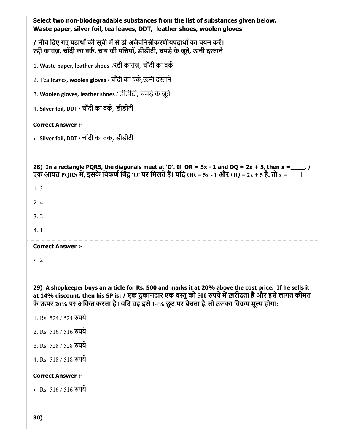| Select two non-biodegradable substances from the list of substances given below.<br>Waste paper, silver foil, tea leaves, DDT, leather shoes, woolen gloves                                                                                                                                              |
|----------------------------------------------------------------------------------------------------------------------------------------------------------------------------------------------------------------------------------------------------------------------------------------------------------|
| / नीचे दिए गए पदार्थों की सूची में से दो अजैवनिम्नीकरणीयपदार्थों का चयन करें।<br>रद्दी काराज़, चाँदी का वर्क, चाय की पत्तियाँ, डीडीटी, चमड़े के जूते, ऊनी दस्ताने                                                                                                                                        |
| 1. Waste paper, leather shoes /रद्दी काग़ज़, चाँदी का वर्क                                                                                                                                                                                                                                               |
| 2. Tea leaves, woolen gloves / चाँदी का वर्क,ऊनी दस्ताने                                                                                                                                                                                                                                                 |
| 3. Woolen gloves, leather shoes / डीडीटी, चमड़े के जूते                                                                                                                                                                                                                                                  |
| 4. Silver foil, DDT / चाँदी का वर्क, डीडीटी                                                                                                                                                                                                                                                              |
| <b>Correct Answer :-</b>                                                                                                                                                                                                                                                                                 |
| • Silver foil, DDT / चाँदी का वर्क, डीडीटी                                                                                                                                                                                                                                                               |
| 28) In a rectangle PQRS, the diagonals meet at 'O'. If OR = $5x - 1$ and OQ = $2x + 5$ , then $x =$ ____.<br>एक आयत PORS में, इसके विकर्ण बिंदु 'O' पर मिलते हैं। यदि OR = 5x - 1 और OQ = 2x + 5 है, तो x = $\qquad$                                                                                     |
| 1.3                                                                                                                                                                                                                                                                                                      |
| 2.4                                                                                                                                                                                                                                                                                                      |
| 3.2                                                                                                                                                                                                                                                                                                      |
| 4.1                                                                                                                                                                                                                                                                                                      |
| <b>Correct Answer :-</b>                                                                                                                                                                                                                                                                                 |
| - 2                                                                                                                                                                                                                                                                                                      |
|                                                                                                                                                                                                                                                                                                          |
| 29) A shopkeeper buys an article for Rs. 500 and marks it at 20% above the cost price. If he sells it<br>at 14% discount, then his SP is: / एक दुकानदार एक वस्तु को 500 रुपये में ख़रीदता है और इसे लागत कीमत<br>के ऊपर 20% पर अंकित करता है। यदि वह इसे 14% छूट पर बेचता है, तो उसका विक्रय मूल्य होगा: |
| 1. Rs. 524 / 524 रुपये                                                                                                                                                                                                                                                                                   |
| 2. Rs. 516 / 516 रुपये                                                                                                                                                                                                                                                                                   |
| 3. Rs. 528 / 528 रुपये                                                                                                                                                                                                                                                                                   |
| 4. Rs. 518 / 518 रुपये                                                                                                                                                                                                                                                                                   |
| <b>Correct Answer:-</b>                                                                                                                                                                                                                                                                                  |
| • Rs. 516 / 516 रुपये                                                                                                                                                                                                                                                                                    |